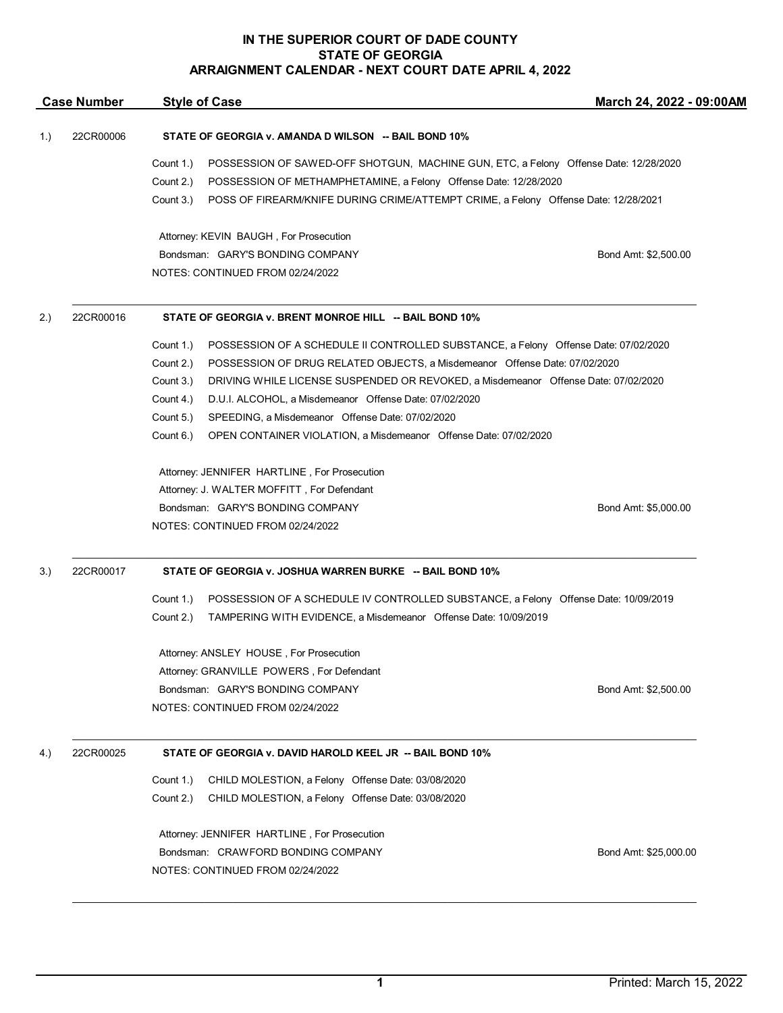|                                                                               | <b>Case Number</b> | <b>Style of Case</b>                                                                              | March 24, 2022 - 09:00AM |  |  |  |
|-------------------------------------------------------------------------------|--------------------|---------------------------------------------------------------------------------------------------|--------------------------|--|--|--|
| 22CR00006<br>STATE OF GEORGIA v. AMANDA D WILSON -- BAIL BOND 10%<br>1.)      |                    |                                                                                                   |                          |  |  |  |
|                                                                               |                    | Count 1.)<br>POSSESSION OF SAWED-OFF SHOTGUN, MACHINE GUN, ETC, a Felony Offense Date: 12/28/2020 |                          |  |  |  |
|                                                                               |                    | Count 2.)<br>POSSESSION OF METHAMPHETAMINE, a Felony Offense Date: 12/28/2020                     |                          |  |  |  |
|                                                                               |                    | Count 3.)<br>POSS OF FIREARM/KNIFE DURING CRIME/ATTEMPT CRIME, a Felony Offense Date: 12/28/2021  |                          |  |  |  |
|                                                                               |                    | Attorney: KEVIN BAUGH, For Prosecution                                                            |                          |  |  |  |
|                                                                               |                    | Bondsman: GARY'S BONDING COMPANY                                                                  | Bond Amt: \$2,500.00     |  |  |  |
|                                                                               |                    | NOTES: CONTINUED FROM 02/24/2022                                                                  |                          |  |  |  |
| 2.)                                                                           | 22CR00016          | STATE OF GEORGIA v. BRENT MONROE HILL -- BAIL BOND 10%                                            |                          |  |  |  |
|                                                                               |                    | Count 1.)<br>POSSESSION OF A SCHEDULE II CONTROLLED SUBSTANCE, a Felony Offense Date: 07/02/2020  |                          |  |  |  |
|                                                                               |                    | Count 2.)<br>POSSESSION OF DRUG RELATED OBJECTS, a Misdemeanor Offense Date: 07/02/2020           |                          |  |  |  |
|                                                                               |                    | Count 3.)<br>DRIVING WHILE LICENSE SUSPENDED OR REVOKED, a Misdemeanor Offense Date: 07/02/2020   |                          |  |  |  |
|                                                                               |                    | Count 4.)<br>D.U.I. ALCOHOL, a Misdemeanor Offense Date: 07/02/2020                               |                          |  |  |  |
|                                                                               |                    | Count 5.)<br>SPEEDING, a Misdemeanor Offense Date: 07/02/2020                                     |                          |  |  |  |
|                                                                               |                    | Count 6.)<br>OPEN CONTAINER VIOLATION, a Misdemeanor Offense Date: 07/02/2020                     |                          |  |  |  |
|                                                                               |                    | Attorney: JENNIFER HARTLINE, For Prosecution                                                      |                          |  |  |  |
|                                                                               |                    | Attorney: J. WALTER MOFFITT, For Defendant                                                        |                          |  |  |  |
|                                                                               |                    | Bondsman: GARY'S BONDING COMPANY                                                                  | Bond Amt: \$5,000.00     |  |  |  |
|                                                                               |                    | NOTES: CONTINUED FROM 02/24/2022                                                                  |                          |  |  |  |
| 3.)                                                                           | 22CR00017          | STATE OF GEORGIA v. JOSHUA WARREN BURKE -- BAIL BOND 10%                                          |                          |  |  |  |
|                                                                               |                    | Count 1.)<br>POSSESSION OF A SCHEDULE IV CONTROLLED SUBSTANCE, a Felony Offense Date: 10/09/2019  |                          |  |  |  |
|                                                                               |                    | TAMPERING WITH EVIDENCE, a Misdemeanor Offense Date: 10/09/2019<br>Count 2.)                      |                          |  |  |  |
|                                                                               |                    | Attorney: ANSLEY HOUSE, For Prosecution                                                           |                          |  |  |  |
|                                                                               |                    | Attorney: GRANVILLE POWERS, For Defendant                                                         |                          |  |  |  |
|                                                                               |                    | Bondsman: GARY'S BONDING COMPANY                                                                  | Bond Amt: \$2,500.00     |  |  |  |
|                                                                               |                    | NOTES: CONTINUED FROM 02/24/2022                                                                  |                          |  |  |  |
| 22CR00025<br>STATE OF GEORGIA v. DAVID HAROLD KEEL JR -- BAIL BOND 10%<br>4.) |                    |                                                                                                   |                          |  |  |  |
|                                                                               |                    | CHILD MOLESTION, a Felony Offense Date: 03/08/2020<br>Count 1.)                                   |                          |  |  |  |
|                                                                               |                    | Count 2.)<br>CHILD MOLESTION, a Felony Offense Date: 03/08/2020                                   |                          |  |  |  |
|                                                                               |                    | Attorney: JENNIFER HARTLINE, For Prosecution                                                      |                          |  |  |  |
|                                                                               |                    | Bondsman: CRAWFORD BONDING COMPANY                                                                | Bond Amt: \$25,000.00    |  |  |  |
|                                                                               |                    | NOTES: CONTINUED FROM 02/24/2022                                                                  |                          |  |  |  |
|                                                                               |                    |                                                                                                   |                          |  |  |  |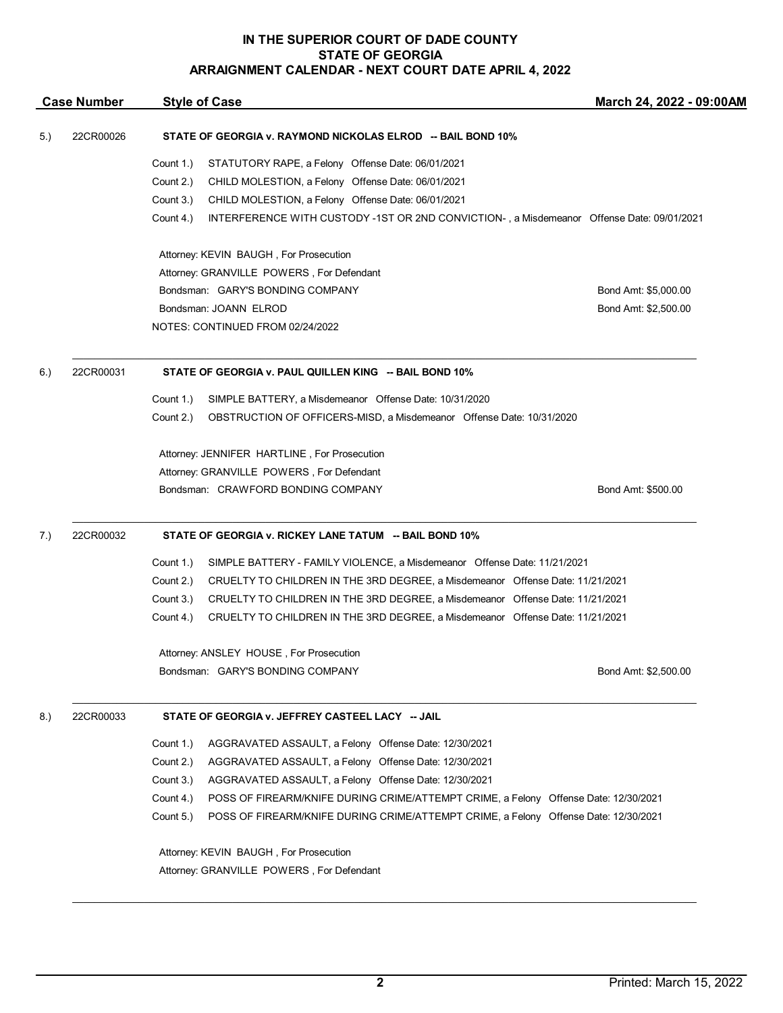| <b>Case Number</b> |           | <b>Style of Case</b>                                                                                   | March 24, 2022 - 09:00AM |  |  |  |
|--------------------|-----------|--------------------------------------------------------------------------------------------------------|--------------------------|--|--|--|
| 5.)                | 22CR00026 | STATE OF GEORGIA v. RAYMOND NICKOLAS ELROD -- BAIL BOND 10%                                            |                          |  |  |  |
|                    |           | Count 1.)<br>STATUTORY RAPE, a Felony Offense Date: 06/01/2021                                         |                          |  |  |  |
|                    |           | Count 2.)<br>CHILD MOLESTION, a Felony Offense Date: 06/01/2021                                        |                          |  |  |  |
|                    |           | Count 3.)<br>CHILD MOLESTION, a Felony Offense Date: 06/01/2021                                        |                          |  |  |  |
|                    |           | Count 4.)<br>INTERFERENCE WITH CUSTODY -1ST OR 2ND CONVICTION-, a Misdemeanor Offense Date: 09/01/2021 |                          |  |  |  |
|                    |           | Attorney: KEVIN BAUGH, For Prosecution                                                                 |                          |  |  |  |
|                    |           | Attorney: GRANVILLE POWERS, For Defendant                                                              |                          |  |  |  |
|                    |           | Bondsman: GARY'S BONDING COMPANY                                                                       | Bond Amt: \$5,000.00     |  |  |  |
|                    |           | Bondsman: JOANN ELROD                                                                                  | Bond Amt: \$2,500.00     |  |  |  |
|                    |           | NOTES: CONTINUED FROM 02/24/2022                                                                       |                          |  |  |  |
| 6.)                | 22CR00031 | STATE OF GEORGIA v. PAUL QUILLEN KING -- BAIL BOND 10%                                                 |                          |  |  |  |
|                    |           | Count 1.)<br>SIMPLE BATTERY, a Misdemeanor Offense Date: 10/31/2020                                    |                          |  |  |  |
|                    |           | OBSTRUCTION OF OFFICERS-MISD, a Misdemeanor Offense Date: 10/31/2020<br>Count 2.)                      |                          |  |  |  |
|                    |           | Attorney: JENNIFER HARTLINE, For Prosecution                                                           |                          |  |  |  |
|                    |           | Attorney: GRANVILLE POWERS, For Defendant                                                              |                          |  |  |  |
|                    |           | Bondsman: CRAWFORD BONDING COMPANY                                                                     | Bond Amt: \$500.00       |  |  |  |
| 7.)                | 22CR00032 | STATE OF GEORGIA v. RICKEY LANE TATUM -- BAIL BOND 10%                                                 |                          |  |  |  |
|                    |           | Count 1.)<br>SIMPLE BATTERY - FAMILY VIOLENCE, a Misdemeanor Offense Date: 11/21/2021                  |                          |  |  |  |
|                    |           | Count 2.)<br>CRUELTY TO CHILDREN IN THE 3RD DEGREE, a Misdemeanor Offense Date: 11/21/2021             |                          |  |  |  |
|                    |           | Count 3.)<br>CRUELTY TO CHILDREN IN THE 3RD DEGREE, a Misdemeanor Offense Date: 11/21/2021             |                          |  |  |  |
|                    |           | Count 4.)<br>CRUELTY TO CHILDREN IN THE 3RD DEGREE, a Misdemeanor Offense Date: 11/21/2021             |                          |  |  |  |
|                    |           | Attorney: ANSLEY HOUSE, For Prosecution                                                                |                          |  |  |  |
|                    |           | Bondsman: GARY'S BONDING COMPANY                                                                       | Bond Amt: \$2,500.00     |  |  |  |
| 8.)                | 22CR00033 | STATE OF GEORGIA v. JEFFREY CASTEEL LACY -- JAIL                                                       |                          |  |  |  |
|                    |           | Count 1.)<br>AGGRAVATED ASSAULT, a Felony Offense Date: 12/30/2021                                     |                          |  |  |  |
|                    |           | Count 2.)<br>AGGRAVATED ASSAULT, a Felony Offense Date: 12/30/2021                                     |                          |  |  |  |
|                    |           | Count 3.)<br>AGGRAVATED ASSAULT, a Felony Offense Date: 12/30/2021                                     |                          |  |  |  |
|                    |           | Count 4.)<br>POSS OF FIREARM/KNIFE DURING CRIME/ATTEMPT CRIME, a Felony Offense Date: 12/30/2021       |                          |  |  |  |
|                    |           | Count 5.)<br>POSS OF FIREARM/KNIFE DURING CRIME/ATTEMPT CRIME, a Felony Offense Date: 12/30/2021       |                          |  |  |  |
|                    |           | Attorney: KEVIN BAUGH, For Prosecution                                                                 |                          |  |  |  |
|                    |           | Attorney: GRANVILLE POWERS, For Defendant                                                              |                          |  |  |  |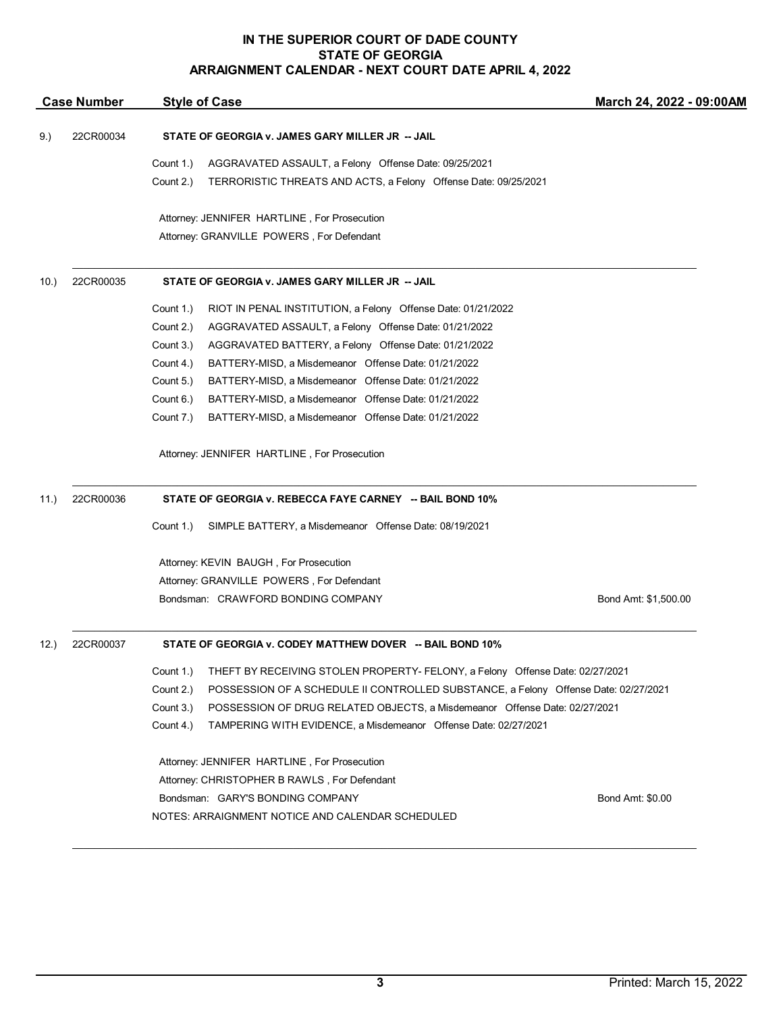| 22CR00034<br>STATE OF GEORGIA v. JAMES GARY MILLER JR -- JAIL<br>9.)<br>Count 1.)<br>AGGRAVATED ASSAULT, a Felony Offense Date: 09/25/2021<br>Count 2.)<br>TERRORISTIC THREATS AND ACTS, a Felony Offense Date: 09/25/2021<br>Attorney: JENNIFER HARTLINE, For Prosecution<br>Attorney: GRANVILLE POWERS, For Defendant<br>22CR00035<br>STATE OF GEORGIA v. JAMES GARY MILLER JR -- JAIL<br>10.<br>Count 1.)<br>RIOT IN PENAL INSTITUTION, a Felony Offense Date: 01/21/2022<br>Count 2.)<br>AGGRAVATED ASSAULT, a Felony Offense Date: 01/21/2022<br>Count 3.)<br>AGGRAVATED BATTERY, a Felony Offense Date: 01/21/2022<br>Count 4.)<br>BATTERY-MISD, a Misdemeanor Offense Date: 01/21/2022<br>Count 5.)<br>BATTERY-MISD, a Misdemeanor Offense Date: 01/21/2022<br>Count 6.)<br>BATTERY-MISD, a Misdemeanor Offense Date: 01/21/2022<br>Count 7.)<br>BATTERY-MISD, a Misdemeanor Offense Date: 01/21/2022<br>Attorney: JENNIFER HARTLINE, For Prosecution<br>22CR00036<br>STATE OF GEORGIA v. REBECCA FAYE CARNEY -- BAIL BOND 10%<br>11.)<br>SIMPLE BATTERY, a Misdemeanor Offense Date: 08/19/2021<br>Count 1.)<br>Attorney: KEVIN BAUGH, For Prosecution<br>Attorney: GRANVILLE POWERS, For Defendant<br>Bondsman: CRAWFORD BONDING COMPANY<br>Bond Amt: \$1,500.00<br>STATE OF GEORGIA v. CODEY MATTHEW DOVER -- BAIL BOND 10%<br>22CR00037<br>12.<br>Count 1.)<br>THEFT BY RECEIVING STOLEN PROPERTY- FELONY, a Felony Offense Date: 02/27/2021<br>Count 2.)<br>POSSESSION OF A SCHEDULE II CONTROLLED SUBSTANCE, a Felony Offense Date: 02/27/2021<br>Count 3.)<br>POSSESSION OF DRUG RELATED OBJECTS, a Misdemeanor Offense Date: 02/27/2021<br>Count 4.)<br>TAMPERING WITH EVIDENCE, a Misdemeanor Offense Date: 02/27/2021<br>Attorney: JENNIFER HARTLINE, For Prosecution<br>Attorney: CHRISTOPHER B RAWLS, For Defendant<br>Bondsman: GARY'S BONDING COMPANY<br>Bond Amt: \$0.00 | <b>Case Number</b> | <b>Style of Case</b> |                                                  | March 24, 2022 - 09:00AM |  |
|------------------------------------------------------------------------------------------------------------------------------------------------------------------------------------------------------------------------------------------------------------------------------------------------------------------------------------------------------------------------------------------------------------------------------------------------------------------------------------------------------------------------------------------------------------------------------------------------------------------------------------------------------------------------------------------------------------------------------------------------------------------------------------------------------------------------------------------------------------------------------------------------------------------------------------------------------------------------------------------------------------------------------------------------------------------------------------------------------------------------------------------------------------------------------------------------------------------------------------------------------------------------------------------------------------------------------------------------------------------------------------------------------------------------------------------------------------------------------------------------------------------------------------------------------------------------------------------------------------------------------------------------------------------------------------------------------------------------------------------------------------------------------------------------------------------------------------------------------------------------------------------------|--------------------|----------------------|--------------------------------------------------|--------------------------|--|
|                                                                                                                                                                                                                                                                                                                                                                                                                                                                                                                                                                                                                                                                                                                                                                                                                                                                                                                                                                                                                                                                                                                                                                                                                                                                                                                                                                                                                                                                                                                                                                                                                                                                                                                                                                                                                                                                                                |                    |                      |                                                  |                          |  |
|                                                                                                                                                                                                                                                                                                                                                                                                                                                                                                                                                                                                                                                                                                                                                                                                                                                                                                                                                                                                                                                                                                                                                                                                                                                                                                                                                                                                                                                                                                                                                                                                                                                                                                                                                                                                                                                                                                |                    |                      |                                                  |                          |  |
|                                                                                                                                                                                                                                                                                                                                                                                                                                                                                                                                                                                                                                                                                                                                                                                                                                                                                                                                                                                                                                                                                                                                                                                                                                                                                                                                                                                                                                                                                                                                                                                                                                                                                                                                                                                                                                                                                                |                    |                      |                                                  |                          |  |
|                                                                                                                                                                                                                                                                                                                                                                                                                                                                                                                                                                                                                                                                                                                                                                                                                                                                                                                                                                                                                                                                                                                                                                                                                                                                                                                                                                                                                                                                                                                                                                                                                                                                                                                                                                                                                                                                                                |                    |                      |                                                  |                          |  |
|                                                                                                                                                                                                                                                                                                                                                                                                                                                                                                                                                                                                                                                                                                                                                                                                                                                                                                                                                                                                                                                                                                                                                                                                                                                                                                                                                                                                                                                                                                                                                                                                                                                                                                                                                                                                                                                                                                |                    |                      |                                                  |                          |  |
|                                                                                                                                                                                                                                                                                                                                                                                                                                                                                                                                                                                                                                                                                                                                                                                                                                                                                                                                                                                                                                                                                                                                                                                                                                                                                                                                                                                                                                                                                                                                                                                                                                                                                                                                                                                                                                                                                                |                    |                      |                                                  |                          |  |
|                                                                                                                                                                                                                                                                                                                                                                                                                                                                                                                                                                                                                                                                                                                                                                                                                                                                                                                                                                                                                                                                                                                                                                                                                                                                                                                                                                                                                                                                                                                                                                                                                                                                                                                                                                                                                                                                                                |                    |                      |                                                  |                          |  |
|                                                                                                                                                                                                                                                                                                                                                                                                                                                                                                                                                                                                                                                                                                                                                                                                                                                                                                                                                                                                                                                                                                                                                                                                                                                                                                                                                                                                                                                                                                                                                                                                                                                                                                                                                                                                                                                                                                |                    |                      |                                                  |                          |  |
|                                                                                                                                                                                                                                                                                                                                                                                                                                                                                                                                                                                                                                                                                                                                                                                                                                                                                                                                                                                                                                                                                                                                                                                                                                                                                                                                                                                                                                                                                                                                                                                                                                                                                                                                                                                                                                                                                                |                    |                      |                                                  |                          |  |
|                                                                                                                                                                                                                                                                                                                                                                                                                                                                                                                                                                                                                                                                                                                                                                                                                                                                                                                                                                                                                                                                                                                                                                                                                                                                                                                                                                                                                                                                                                                                                                                                                                                                                                                                                                                                                                                                                                |                    |                      |                                                  |                          |  |
|                                                                                                                                                                                                                                                                                                                                                                                                                                                                                                                                                                                                                                                                                                                                                                                                                                                                                                                                                                                                                                                                                                                                                                                                                                                                                                                                                                                                                                                                                                                                                                                                                                                                                                                                                                                                                                                                                                |                    |                      |                                                  |                          |  |
|                                                                                                                                                                                                                                                                                                                                                                                                                                                                                                                                                                                                                                                                                                                                                                                                                                                                                                                                                                                                                                                                                                                                                                                                                                                                                                                                                                                                                                                                                                                                                                                                                                                                                                                                                                                                                                                                                                |                    |                      |                                                  |                          |  |
|                                                                                                                                                                                                                                                                                                                                                                                                                                                                                                                                                                                                                                                                                                                                                                                                                                                                                                                                                                                                                                                                                                                                                                                                                                                                                                                                                                                                                                                                                                                                                                                                                                                                                                                                                                                                                                                                                                |                    |                      |                                                  |                          |  |
|                                                                                                                                                                                                                                                                                                                                                                                                                                                                                                                                                                                                                                                                                                                                                                                                                                                                                                                                                                                                                                                                                                                                                                                                                                                                                                                                                                                                                                                                                                                                                                                                                                                                                                                                                                                                                                                                                                |                    |                      |                                                  |                          |  |
|                                                                                                                                                                                                                                                                                                                                                                                                                                                                                                                                                                                                                                                                                                                                                                                                                                                                                                                                                                                                                                                                                                                                                                                                                                                                                                                                                                                                                                                                                                                                                                                                                                                                                                                                                                                                                                                                                                |                    |                      |                                                  |                          |  |
|                                                                                                                                                                                                                                                                                                                                                                                                                                                                                                                                                                                                                                                                                                                                                                                                                                                                                                                                                                                                                                                                                                                                                                                                                                                                                                                                                                                                                                                                                                                                                                                                                                                                                                                                                                                                                                                                                                |                    |                      |                                                  |                          |  |
|                                                                                                                                                                                                                                                                                                                                                                                                                                                                                                                                                                                                                                                                                                                                                                                                                                                                                                                                                                                                                                                                                                                                                                                                                                                                                                                                                                                                                                                                                                                                                                                                                                                                                                                                                                                                                                                                                                |                    |                      |                                                  |                          |  |
|                                                                                                                                                                                                                                                                                                                                                                                                                                                                                                                                                                                                                                                                                                                                                                                                                                                                                                                                                                                                                                                                                                                                                                                                                                                                                                                                                                                                                                                                                                                                                                                                                                                                                                                                                                                                                                                                                                |                    |                      |                                                  |                          |  |
|                                                                                                                                                                                                                                                                                                                                                                                                                                                                                                                                                                                                                                                                                                                                                                                                                                                                                                                                                                                                                                                                                                                                                                                                                                                                                                                                                                                                                                                                                                                                                                                                                                                                                                                                                                                                                                                                                                |                    |                      |                                                  |                          |  |
|                                                                                                                                                                                                                                                                                                                                                                                                                                                                                                                                                                                                                                                                                                                                                                                                                                                                                                                                                                                                                                                                                                                                                                                                                                                                                                                                                                                                                                                                                                                                                                                                                                                                                                                                                                                                                                                                                                |                    |                      |                                                  |                          |  |
|                                                                                                                                                                                                                                                                                                                                                                                                                                                                                                                                                                                                                                                                                                                                                                                                                                                                                                                                                                                                                                                                                                                                                                                                                                                                                                                                                                                                                                                                                                                                                                                                                                                                                                                                                                                                                                                                                                |                    |                      |                                                  |                          |  |
|                                                                                                                                                                                                                                                                                                                                                                                                                                                                                                                                                                                                                                                                                                                                                                                                                                                                                                                                                                                                                                                                                                                                                                                                                                                                                                                                                                                                                                                                                                                                                                                                                                                                                                                                                                                                                                                                                                |                    |                      |                                                  |                          |  |
|                                                                                                                                                                                                                                                                                                                                                                                                                                                                                                                                                                                                                                                                                                                                                                                                                                                                                                                                                                                                                                                                                                                                                                                                                                                                                                                                                                                                                                                                                                                                                                                                                                                                                                                                                                                                                                                                                                |                    |                      |                                                  |                          |  |
|                                                                                                                                                                                                                                                                                                                                                                                                                                                                                                                                                                                                                                                                                                                                                                                                                                                                                                                                                                                                                                                                                                                                                                                                                                                                                                                                                                                                                                                                                                                                                                                                                                                                                                                                                                                                                                                                                                |                    |                      |                                                  |                          |  |
|                                                                                                                                                                                                                                                                                                                                                                                                                                                                                                                                                                                                                                                                                                                                                                                                                                                                                                                                                                                                                                                                                                                                                                                                                                                                                                                                                                                                                                                                                                                                                                                                                                                                                                                                                                                                                                                                                                |                    |                      |                                                  |                          |  |
|                                                                                                                                                                                                                                                                                                                                                                                                                                                                                                                                                                                                                                                                                                                                                                                                                                                                                                                                                                                                                                                                                                                                                                                                                                                                                                                                                                                                                                                                                                                                                                                                                                                                                                                                                                                                                                                                                                |                    |                      |                                                  |                          |  |
|                                                                                                                                                                                                                                                                                                                                                                                                                                                                                                                                                                                                                                                                                                                                                                                                                                                                                                                                                                                                                                                                                                                                                                                                                                                                                                                                                                                                                                                                                                                                                                                                                                                                                                                                                                                                                                                                                                |                    |                      |                                                  |                          |  |
|                                                                                                                                                                                                                                                                                                                                                                                                                                                                                                                                                                                                                                                                                                                                                                                                                                                                                                                                                                                                                                                                                                                                                                                                                                                                                                                                                                                                                                                                                                                                                                                                                                                                                                                                                                                                                                                                                                |                    |                      | NOTES: ARRAIGNMENT NOTICE AND CALENDAR SCHEDULED |                          |  |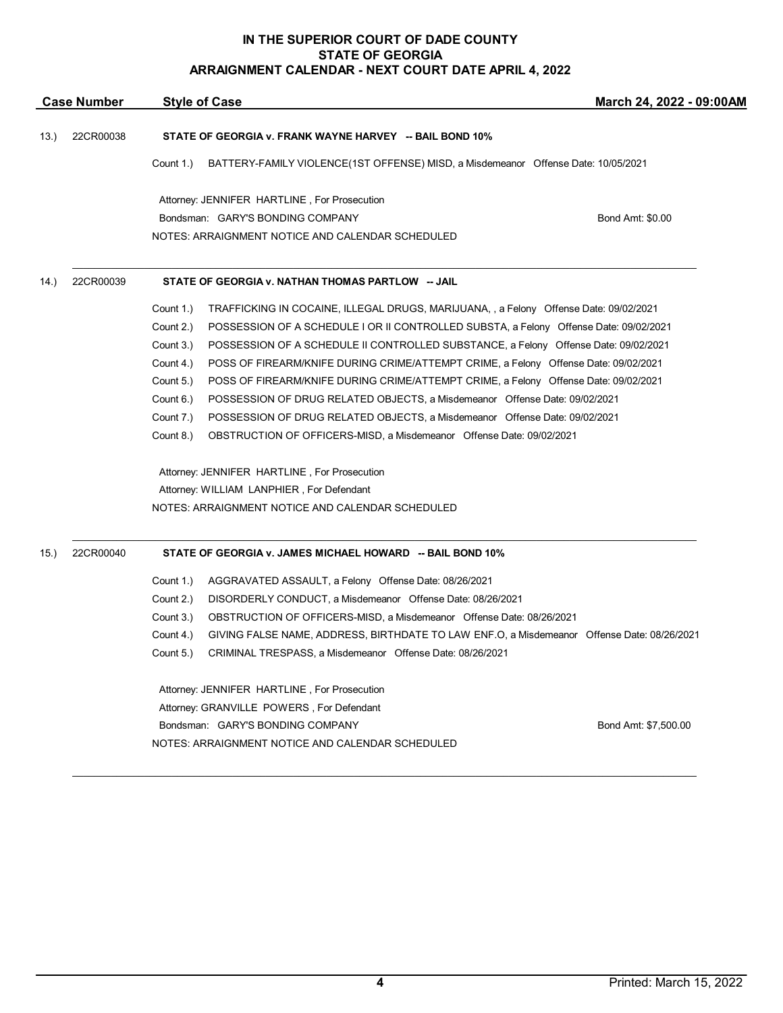|       | <b>Case Number</b> |                                                           | <b>Style of Case</b>                                                                       | March 24, 2022 - 09:00AM |  |  |
|-------|--------------------|-----------------------------------------------------------|--------------------------------------------------------------------------------------------|--------------------------|--|--|
| 13.   | 22CR00038          | STATE OF GEORGIA v. FRANK WAYNE HARVEY -- BAIL BOND 10%   |                                                                                            |                          |  |  |
|       |                    | Count 1.)                                                 | BATTERY-FAMILY VIOLENCE(1ST OFFENSE) MISD, a Misdemeanor Offense Date: 10/05/2021          |                          |  |  |
|       |                    |                                                           | Attorney: JENNIFER HARTLINE, For Prosecution                                               |                          |  |  |
|       |                    |                                                           | Bondsman: GARY'S BONDING COMPANY                                                           | Bond Amt: \$0.00         |  |  |
|       |                    |                                                           | NOTES: ARRAIGNMENT NOTICE AND CALENDAR SCHEDULED                                           |                          |  |  |
| (14.) | 22CR00039          | STATE OF GEORGIA v. NATHAN THOMAS PARTLOW -- JAIL         |                                                                                            |                          |  |  |
|       |                    | Count 1.)                                                 | TRAFFICKING IN COCAINE, ILLEGAL DRUGS, MARIJUANA, , a Felony Offense Date: 09/02/2021      |                          |  |  |
|       |                    | Count 2.)                                                 | POSSESSION OF A SCHEDULE I OR II CONTROLLED SUBSTA, a Felony Offense Date: 09/02/2021      |                          |  |  |
|       |                    | Count 3.)                                                 | POSSESSION OF A SCHEDULE II CONTROLLED SUBSTANCE, a Felony Offense Date: 09/02/2021        |                          |  |  |
|       |                    | Count 4.)                                                 | POSS OF FIREARM/KNIFE DURING CRIME/ATTEMPT CRIME, a Felony Offense Date: 09/02/2021        |                          |  |  |
|       |                    | Count 5.)                                                 | POSS OF FIREARM/KNIFE DURING CRIME/ATTEMPT CRIME, a Felony Offense Date: 09/02/2021        |                          |  |  |
|       |                    | Count 6.)                                                 | POSSESSION OF DRUG RELATED OBJECTS, a Misdemeanor Offense Date: 09/02/2021                 |                          |  |  |
|       |                    | Count 7.)                                                 | POSSESSION OF DRUG RELATED OBJECTS, a Misdemeanor Offense Date: 09/02/2021                 |                          |  |  |
|       |                    | Count 8.)                                                 | OBSTRUCTION OF OFFICERS-MISD, a Misdemeanor Offense Date: 09/02/2021                       |                          |  |  |
|       |                    |                                                           | Attorney: JENNIFER HARTLINE, For Prosecution                                               |                          |  |  |
|       |                    | Attorney: WILLIAM LANPHIER, For Defendant                 |                                                                                            |                          |  |  |
|       |                    |                                                           | NOTES: ARRAIGNMENT NOTICE AND CALENDAR SCHEDULED                                           |                          |  |  |
| 15.   | 22CR00040          | STATE OF GEORGIA v. JAMES MICHAEL HOWARD -- BAIL BOND 10% |                                                                                            |                          |  |  |
|       |                    | Count 1.)                                                 | AGGRAVATED ASSAULT, a Felony Offense Date: 08/26/2021                                      |                          |  |  |
|       |                    | Count 2.)                                                 | DISORDERLY CONDUCT, a Misdemeanor Offense Date: 08/26/2021                                 |                          |  |  |
|       |                    | Count 3.)                                                 | OBSTRUCTION OF OFFICERS-MISD, a Misdemeanor Offense Date: 08/26/2021                       |                          |  |  |
|       |                    | Count 4.)                                                 | GIVING FALSE NAME, ADDRESS, BIRTHDATE TO LAW ENF.O, a Misdemeanor Offense Date: 08/26/2021 |                          |  |  |
|       |                    | Count 5.)                                                 | CRIMINAL TRESPASS, a Misdemeanor Offense Date: 08/26/2021                                  |                          |  |  |
|       |                    | Attorney: JENNIFER HARTLINE, For Prosecution              |                                                                                            |                          |  |  |
|       |                    | Attorney: GRANVILLE POWERS, For Defendant                 |                                                                                            |                          |  |  |
|       |                    | Bondsman: GARY'S BONDING COMPANY<br>Bond Amt: \$7,500.00  |                                                                                            |                          |  |  |
|       |                    | NOTES: ARRAIGNMENT NOTICE AND CALENDAR SCHEDULED          |                                                                                            |                          |  |  |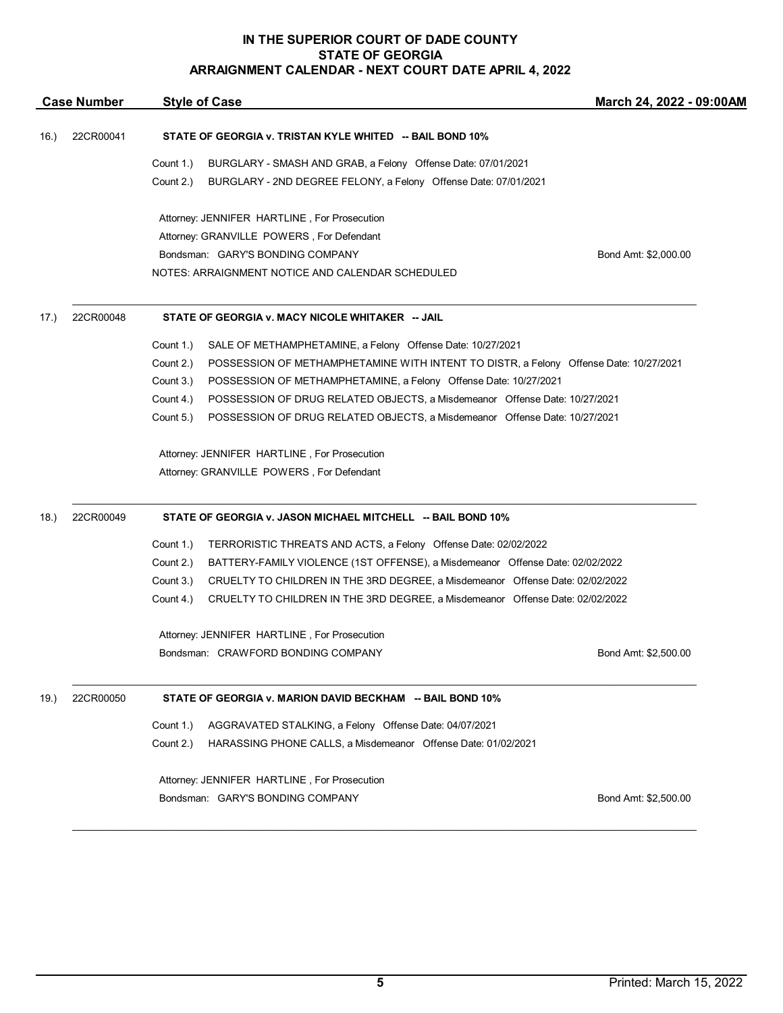| <b>Case Number</b> |           | <b>Style of Case</b>                                        |                                                                                       | March 24, 2022 - 09:00AM |  |  |
|--------------------|-----------|-------------------------------------------------------------|---------------------------------------------------------------------------------------|--------------------------|--|--|
| 16.)               | 22CR00041 | STATE OF GEORGIA v. TRISTAN KYLE WHITED -- BAIL BOND 10%    |                                                                                       |                          |  |  |
|                    |           | Count 1.)                                                   | BURGLARY - SMASH AND GRAB, a Felony Offense Date: 07/01/2021                          |                          |  |  |
|                    |           | Count 2.)                                                   | BURGLARY - 2ND DEGREE FELONY, a Felony Offense Date: 07/01/2021                       |                          |  |  |
|                    |           |                                                             | Attorney: JENNIFER HARTLINE, For Prosecution                                          |                          |  |  |
|                    |           |                                                             | Attorney: GRANVILLE POWERS, For Defendant                                             |                          |  |  |
|                    |           |                                                             | Bondsman: GARY'S BONDING COMPANY                                                      | Bond Amt: \$2,000.00     |  |  |
|                    |           |                                                             | NOTES: ARRAIGNMENT NOTICE AND CALENDAR SCHEDULED                                      |                          |  |  |
| 17.)               | 22CR00048 | STATE OF GEORGIA v. MACY NICOLE WHITAKER -- JAIL            |                                                                                       |                          |  |  |
|                    |           | Count 1.)                                                   | SALE OF METHAMPHETAMINE, a Felony Offense Date: 10/27/2021                            |                          |  |  |
|                    |           | Count 2.)                                                   | POSSESSION OF METHAMPHETAMINE WITH INTENT TO DISTR, a Felony Offense Date: 10/27/2021 |                          |  |  |
|                    |           | Count 3.)                                                   | POSSESSION OF METHAMPHETAMINE, a Felony Offense Date: 10/27/2021                      |                          |  |  |
|                    |           | Count 4.)                                                   | POSSESSION OF DRUG RELATED OBJECTS, a Misdemeanor Offense Date: 10/27/2021            |                          |  |  |
|                    |           | Count 5.)                                                   | POSSESSION OF DRUG RELATED OBJECTS, a Misdemeanor Offense Date: 10/27/2021            |                          |  |  |
|                    |           |                                                             | Attorney: JENNIFER HARTLINE, For Prosecution                                          |                          |  |  |
|                    |           |                                                             | Attorney: GRANVILLE POWERS, For Defendant                                             |                          |  |  |
| 18.)               | 22CR00049 | STATE OF GEORGIA v. JASON MICHAEL MITCHELL -- BAIL BOND 10% |                                                                                       |                          |  |  |
|                    |           | Count 1.)                                                   | TERRORISTIC THREATS AND ACTS, a Felony Offense Date: 02/02/2022                       |                          |  |  |
|                    |           | Count 2.)                                                   | BATTERY-FAMILY VIOLENCE (1ST OFFENSE), a Misdemeanor Offense Date: 02/02/2022         |                          |  |  |
|                    |           | Count 3.)                                                   | CRUELTY TO CHILDREN IN THE 3RD DEGREE, a Misdemeanor Offense Date: 02/02/2022         |                          |  |  |
|                    |           | Count 4.)                                                   | CRUELTY TO CHILDREN IN THE 3RD DEGREE, a Misdemeanor Offense Date: 02/02/2022         |                          |  |  |
|                    |           | Attorney: JENNIFER HARTLINE, For Prosecution                |                                                                                       |                          |  |  |
|                    |           |                                                             | Bondsman: CRAWFORD BONDING COMPANY                                                    | Bond Amt: \$2,500.00     |  |  |
| 19.)               | 22CR00050 |                                                             | STATE OF GEORGIA v. MARION DAVID BECKHAM -- BAIL BOND 10%                             |                          |  |  |
|                    |           | Count 1.)                                                   | AGGRAVATED STALKING, a Felony Offense Date: 04/07/2021                                |                          |  |  |
|                    |           | Count 2.)                                                   | HARASSING PHONE CALLS, a Misdemeanor Offense Date: 01/02/2021                         |                          |  |  |
|                    |           |                                                             | Attorney: JENNIFER HARTLINE, For Prosecution                                          |                          |  |  |
|                    |           |                                                             | Bondsman: GARY'S BONDING COMPANY                                                      | Bond Amt: \$2,500.00     |  |  |

 $\mathcal{L}_\mathcal{L} = \mathcal{L}_\mathcal{L} = \mathcal{L}_\mathcal{L} = \mathcal{L}_\mathcal{L} = \mathcal{L}_\mathcal{L} = \mathcal{L}_\mathcal{L} = \mathcal{L}_\mathcal{L} = \mathcal{L}_\mathcal{L} = \mathcal{L}_\mathcal{L} = \mathcal{L}_\mathcal{L} = \mathcal{L}_\mathcal{L} = \mathcal{L}_\mathcal{L} = \mathcal{L}_\mathcal{L} = \mathcal{L}_\mathcal{L} = \mathcal{L}_\mathcal{L} = \mathcal{L}_\mathcal{L} = \mathcal{L}_\mathcal{L}$